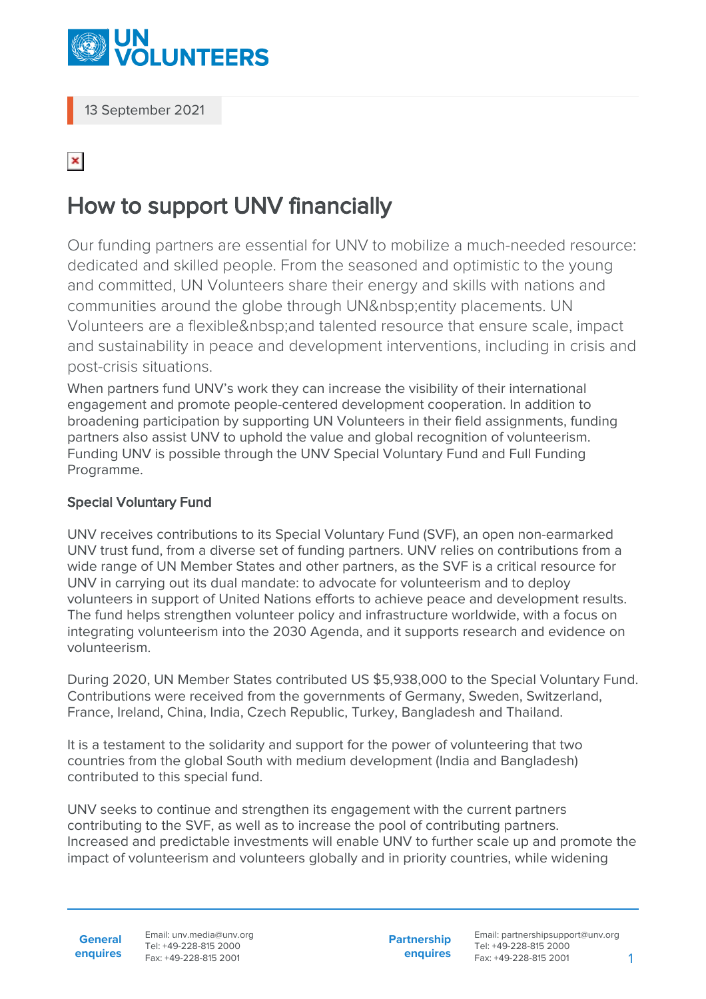

13 September 2021

## $\pmb{\times}$

## How to support UNV financially

Our funding partners are essential for UNV to mobilize a much-needed resource: dedicated and skilled people. From the seasoned and optimistic to the young and committed, UN Volunteers share their energy and skills with nations and communities around the globe through UN entity placements. UN Volunteers are a flexible & nbsp: and talented resource that ensure scale, impact and sustainability in peace and development interventions, including in crisis and post-crisis situations.

When partners fund UNV's work they can increase the visibility of their international engagement and promote people-centered development cooperation. In addition to broadening participation by supporting UN Volunteers in their field assignments, funding partners also assist UNV to uphold the value and global recognition of volunteerism. Funding UNV is possible through the UNV Special Voluntary Fund and Full Funding Programme.

## Special Voluntary Fund

UNV receives contributions to its Special Voluntary Fund (SVF), an open non-earmarked UNV trust fund, from a diverse set of funding partners. UNV relies on contributions from a wide range of UN Member States and other partners, as the SVF is a critical resource for UNV in carrying out its dual mandate: to advocate for volunteerism and to deploy volunteers in support of United Nations efforts to achieve peace and development results. The fund helps strengthen volunteer policy and infrastructure worldwide, with a focus on integrating volunteerism into the 2030 Agenda, and it supports research and evidence on volunteerism.

During 2020, UN Member States contributed US \$5,938,000 to the Special Voluntary Fund. Contributions were received from the governments of Germany, Sweden, Switzerland, France, Ireland, China, India, Czech Republic, Turkey, Bangladesh and Thailand.

It is a testament to the solidarity and support for the power of volunteering that two countries from the global South with medium development (India and Bangladesh) contributed to this special fund.

UNV seeks to continue and strengthen its engagement with the current partners contributing to the SVF, as well as to increase the pool of contributing partners. Increased and predictable investments will enable UNV to further scale up and promote the impact of volunteerism and volunteers globally and in priority countries, while widening

Email: unv.media@unv.org Tel: +49-228-815 2000 Fax: +49-228-815 2001

**Partnership enquires** Email: partnershipsupport@unv.org Tel: +49-228-815 2000 Fax: +49-228-815 2001 1